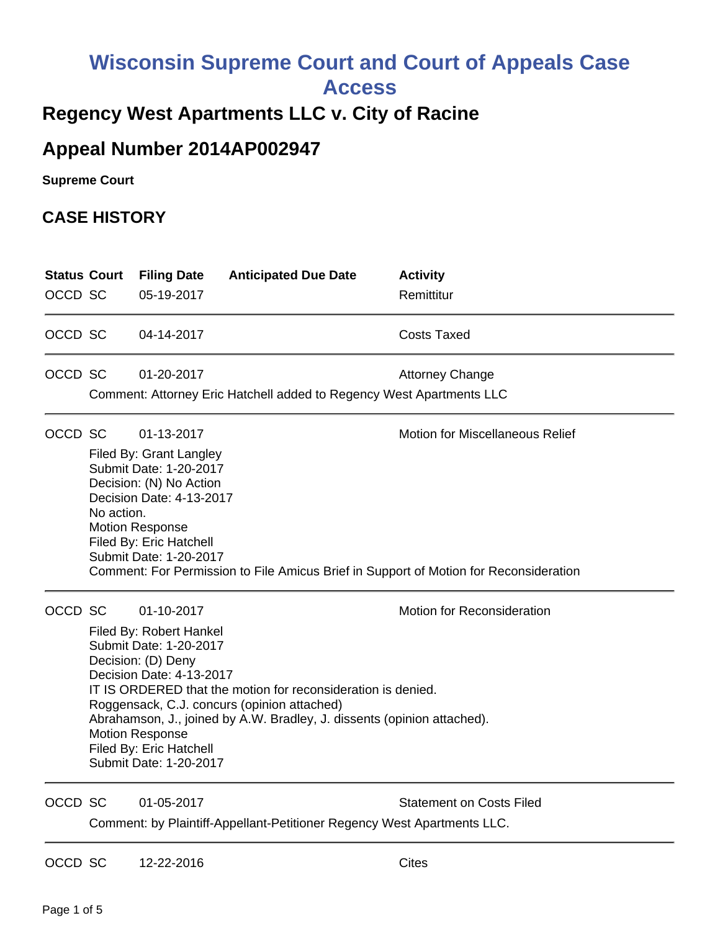## **Wisconsin Supreme Court and Court of Appeals Case**

**Access**

## **Regency West Apartments LLC v. City of Racine**

## **Appeal Number 2014AP002947**

**Supreme Court** 

## **CASE HISTORY**

| <b>Status Court</b><br>OCCD SC |                                                                                                                                                                                                                                                                                                                                                                                                                                            | <b>Filing Date</b><br>05-19-2017                                                                                                                                                                      | <b>Anticipated Due Date</b>                                          | <b>Activity</b><br>Remittitur                                                                                                   |
|--------------------------------|--------------------------------------------------------------------------------------------------------------------------------------------------------------------------------------------------------------------------------------------------------------------------------------------------------------------------------------------------------------------------------------------------------------------------------------------|-------------------------------------------------------------------------------------------------------------------------------------------------------------------------------------------------------|----------------------------------------------------------------------|---------------------------------------------------------------------------------------------------------------------------------|
| OCCD SC                        |                                                                                                                                                                                                                                                                                                                                                                                                                                            | 04-14-2017                                                                                                                                                                                            |                                                                      | <b>Costs Taxed</b>                                                                                                              |
| OCCD SC                        |                                                                                                                                                                                                                                                                                                                                                                                                                                            | 01-20-2017                                                                                                                                                                                            | Comment: Attorney Eric Hatchell added to Regency West Apartments LLC | <b>Attorney Change</b>                                                                                                          |
| OCCD SC                        | No action.                                                                                                                                                                                                                                                                                                                                                                                                                                 | 01-13-2017<br>Filed By: Grant Langley<br>Submit Date: 1-20-2017<br>Decision: (N) No Action<br>Decision Date: 4-13-2017<br><b>Motion Response</b><br>Filed By: Eric Hatchell<br>Submit Date: 1-20-2017 |                                                                      | <b>Motion for Miscellaneous Relief</b><br>Comment: For Permission to File Amicus Brief in Support of Motion for Reconsideration |
|                                | OCCD SC<br>01-10-2017<br><b>Motion for Reconsideration</b><br>Filed By: Robert Hankel<br>Submit Date: 1-20-2017<br>Decision: (D) Deny<br>Decision Date: 4-13-2017<br>IT IS ORDERED that the motion for reconsideration is denied.<br>Roggensack, C.J. concurs (opinion attached)<br>Abrahamson, J., joined by A.W. Bradley, J. dissents (opinion attached).<br><b>Motion Response</b><br>Filed By: Eric Hatchell<br>Submit Date: 1-20-2017 |                                                                                                                                                                                                       |                                                                      |                                                                                                                                 |
| OCCD SC                        |                                                                                                                                                                                                                                                                                                                                                                                                                                            | 01-05-2017                                                                                                                                                                                            |                                                                      | <b>Statement on Costs Filed</b>                                                                                                 |

Comment: by Plaintiff-Appellant-Petitioner Regency West Apartments LLC.

OCCD SC 12-22-2016 Cites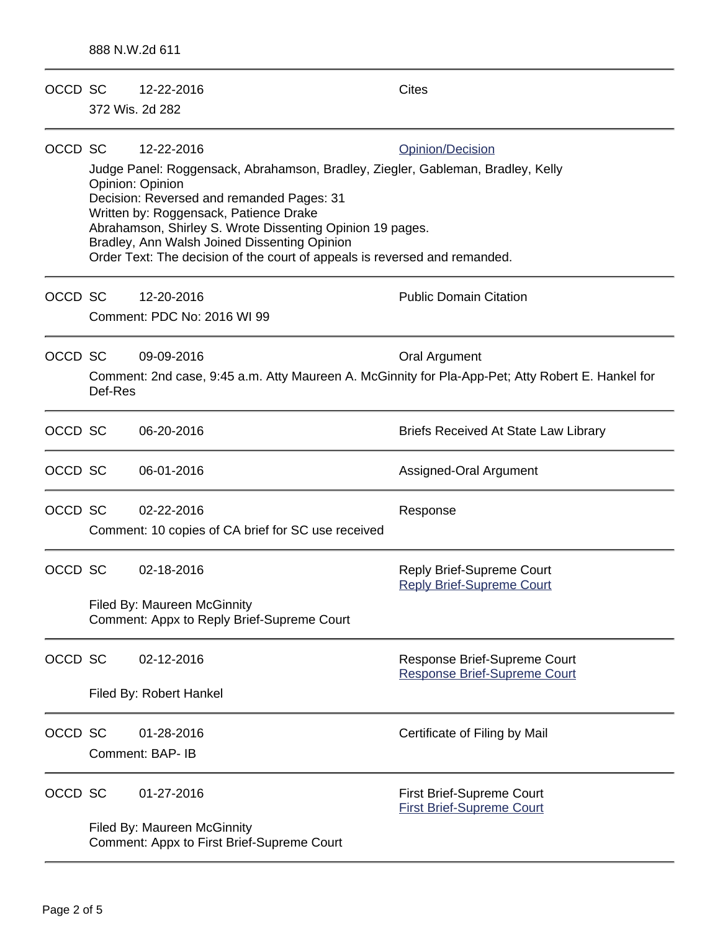| OCCD SC |                                                                                                                                                                                                                                                                                                                                                                                       | 12-22-2016<br>372 Wis. 2d 282                                                                     | <b>Cites</b>                                                         |  |  |
|---------|---------------------------------------------------------------------------------------------------------------------------------------------------------------------------------------------------------------------------------------------------------------------------------------------------------------------------------------------------------------------------------------|---------------------------------------------------------------------------------------------------|----------------------------------------------------------------------|--|--|
|         |                                                                                                                                                                                                                                                                                                                                                                                       |                                                                                                   |                                                                      |  |  |
| OCCD SC |                                                                                                                                                                                                                                                                                                                                                                                       | 12-22-2016                                                                                        | Opinion/Decision                                                     |  |  |
|         | Judge Panel: Roggensack, Abrahamson, Bradley, Ziegler, Gableman, Bradley, Kelly<br>Opinion: Opinion<br>Decision: Reversed and remanded Pages: 31<br>Written by: Roggensack, Patience Drake<br>Abrahamson, Shirley S. Wrote Dissenting Opinion 19 pages.<br>Bradley, Ann Walsh Joined Dissenting Opinion<br>Order Text: The decision of the court of appeals is reversed and remanded. |                                                                                                   |                                                                      |  |  |
| OCCD SC |                                                                                                                                                                                                                                                                                                                                                                                       | 12-20-2016                                                                                        | <b>Public Domain Citation</b>                                        |  |  |
|         |                                                                                                                                                                                                                                                                                                                                                                                       | Comment: PDC No: 2016 WI 99                                                                       |                                                                      |  |  |
| OCCD SC |                                                                                                                                                                                                                                                                                                                                                                                       | 09-09-2016                                                                                        | <b>Oral Argument</b>                                                 |  |  |
|         | Def-Res                                                                                                                                                                                                                                                                                                                                                                               | Comment: 2nd case, 9:45 a.m. Atty Maureen A. McGinnity for Pla-App-Pet; Atty Robert E. Hankel for |                                                                      |  |  |
| OCCD SC |                                                                                                                                                                                                                                                                                                                                                                                       | 06-20-2016                                                                                        | <b>Briefs Received At State Law Library</b>                          |  |  |
| OCCD SC |                                                                                                                                                                                                                                                                                                                                                                                       | 06-01-2016                                                                                        | Assigned-Oral Argument                                               |  |  |
| OCCD SC |                                                                                                                                                                                                                                                                                                                                                                                       | 02-22-2016<br>Comment: 10 copies of CA brief for SC use received                                  | Response                                                             |  |  |
| OCCD SC |                                                                                                                                                                                                                                                                                                                                                                                       | 02-18-2016                                                                                        | Reply Brief-Supreme Court<br><b>Reply Brief-Supreme Court</b>        |  |  |
|         |                                                                                                                                                                                                                                                                                                                                                                                       | <b>Filed By: Maureen McGinnity</b><br>Comment: Appx to Reply Brief-Supreme Court                  |                                                                      |  |  |
| OCCD SC |                                                                                                                                                                                                                                                                                                                                                                                       | 02-12-2016                                                                                        | Response Brief-Supreme Court<br><b>Response Brief-Supreme Court</b>  |  |  |
|         | Filed By: Robert Hankel                                                                                                                                                                                                                                                                                                                                                               |                                                                                                   |                                                                      |  |  |
| OCCD SC |                                                                                                                                                                                                                                                                                                                                                                                       | 01-28-2016<br>Comment: BAP- IB                                                                    | Certificate of Filing by Mail                                        |  |  |
| OCCD SC |                                                                                                                                                                                                                                                                                                                                                                                       | 01-27-2016                                                                                        | <b>First Brief-Supreme Court</b><br><b>First Brief-Supreme Court</b> |  |  |
|         |                                                                                                                                                                                                                                                                                                                                                                                       | <b>Filed By: Maureen McGinnity</b><br>Comment: Appx to First Brief-Supreme Court                  |                                                                      |  |  |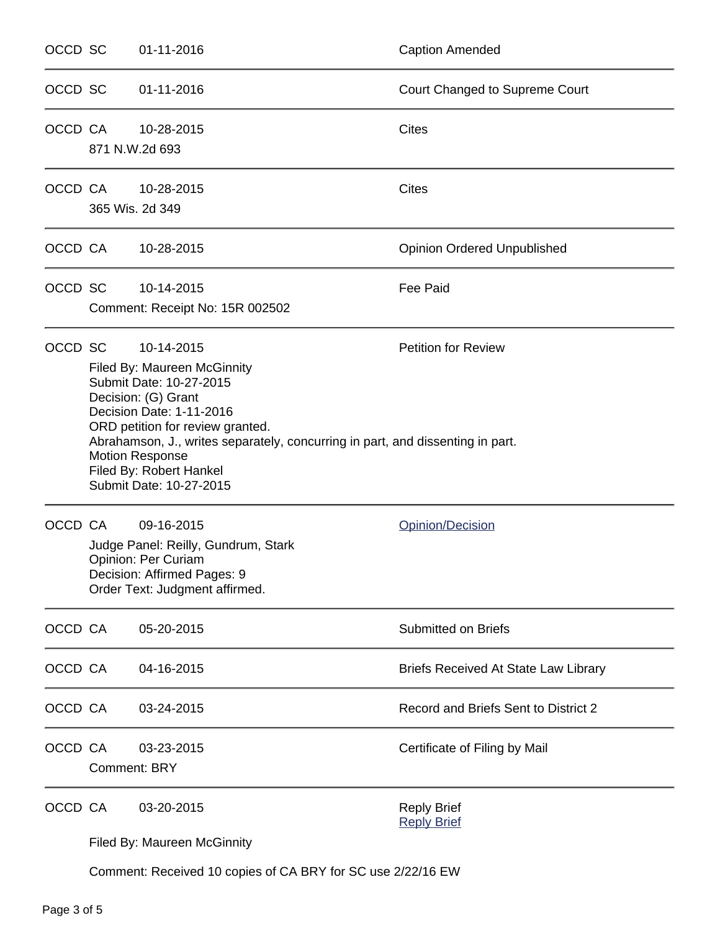| OCCD SC |                                                                                                                                                                                                                                                                                                                                                                    | 01-11-2016                                    | <b>Caption Amended</b>                      |
|---------|--------------------------------------------------------------------------------------------------------------------------------------------------------------------------------------------------------------------------------------------------------------------------------------------------------------------------------------------------------------------|-----------------------------------------------|---------------------------------------------|
| OCCD SC |                                                                                                                                                                                                                                                                                                                                                                    | 01-11-2016                                    | Court Changed to Supreme Court              |
| OCCD CA |                                                                                                                                                                                                                                                                                                                                                                    | 10-28-2015<br>871 N.W.2d 693                  | <b>Cites</b>                                |
| OCCD CA |                                                                                                                                                                                                                                                                                                                                                                    | 10-28-2015<br>365 Wis. 2d 349                 | <b>Cites</b>                                |
|         | OCCD CA                                                                                                                                                                                                                                                                                                                                                            | 10-28-2015                                    | <b>Opinion Ordered Unpublished</b>          |
| OCCD SC |                                                                                                                                                                                                                                                                                                                                                                    | 10-14-2015<br>Comment: Receipt No: 15R 002502 | <b>Fee Paid</b>                             |
| OCCD SC | 10-14-2015<br><b>Petition for Review</b><br><b>Filed By: Maureen McGinnity</b><br>Submit Date: 10-27-2015<br>Decision: (G) Grant<br>Decision Date: 1-11-2016<br>ORD petition for review granted.<br>Abrahamson, J., writes separately, concurring in part, and dissenting in part.<br><b>Motion Response</b><br>Filed By: Robert Hankel<br>Submit Date: 10-27-2015 |                                               |                                             |
| OCCD CA | 09-16-2015<br>Judge Panel: Reilly, Gundrum, Stark<br>Opinion: Per Curiam<br>Decision: Affirmed Pages: 9<br>Order Text: Judgment affirmed.                                                                                                                                                                                                                          |                                               | Opinion/Decision                            |
| OCCD CA |                                                                                                                                                                                                                                                                                                                                                                    | 05-20-2015                                    | Submitted on Briefs                         |
| OCCD CA |                                                                                                                                                                                                                                                                                                                                                                    | 04-16-2015                                    | <b>Briefs Received At State Law Library</b> |
| OCCD CA |                                                                                                                                                                                                                                                                                                                                                                    | 03-24-2015                                    | Record and Briefs Sent to District 2        |
| OCCD CA |                                                                                                                                                                                                                                                                                                                                                                    | 03-23-2015<br><b>Comment: BRY</b>             | Certificate of Filing by Mail               |
| OCCD CA |                                                                                                                                                                                                                                                                                                                                                                    | 03-20-2015<br>Filed By: Maureen McGinnity     | <b>Reply Brief</b><br><b>Reply Brief</b>    |

Comment: Received 10 copies of CA BRY for SC use 2/22/16 EW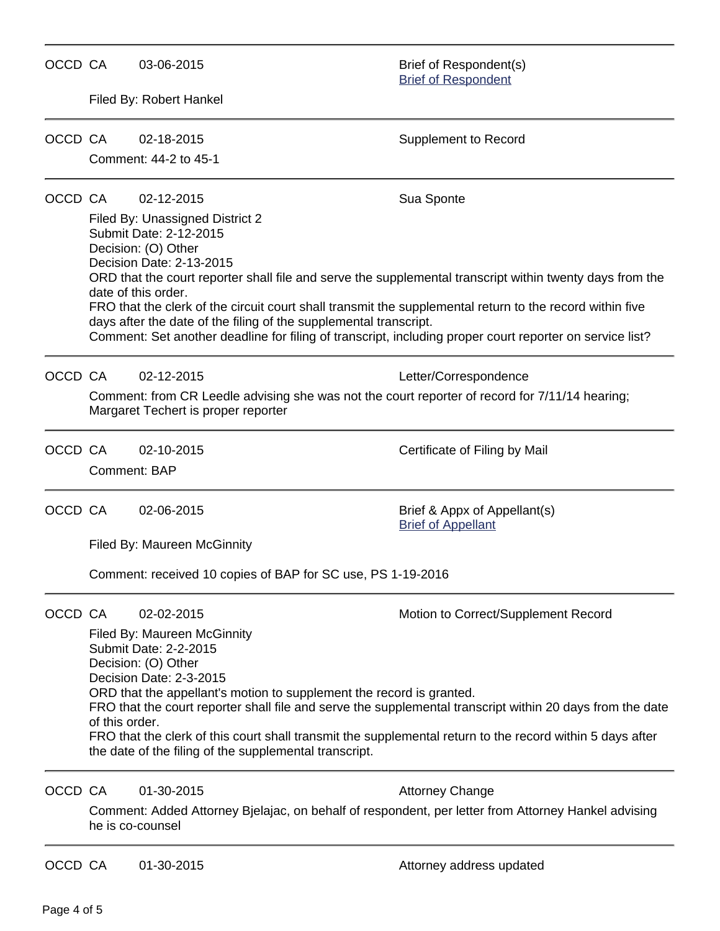| OCCD CA |                                                                                                                                                                                                                                                                                                                                                                                                                                                                                                                                           | 03-06-2015                                                                                                                                                                                                                                                                                                                         | Brief of Respondent(s)<br><b>Brief of Respondent</b>                                                                                                                                                                               |  |  |
|---------|-------------------------------------------------------------------------------------------------------------------------------------------------------------------------------------------------------------------------------------------------------------------------------------------------------------------------------------------------------------------------------------------------------------------------------------------------------------------------------------------------------------------------------------------|------------------------------------------------------------------------------------------------------------------------------------------------------------------------------------------------------------------------------------------------------------------------------------------------------------------------------------|------------------------------------------------------------------------------------------------------------------------------------------------------------------------------------------------------------------------------------|--|--|
|         |                                                                                                                                                                                                                                                                                                                                                                                                                                                                                                                                           | Filed By: Robert Hankel                                                                                                                                                                                                                                                                                                            |                                                                                                                                                                                                                                    |  |  |
| OCCD CA |                                                                                                                                                                                                                                                                                                                                                                                                                                                                                                                                           | 02-18-2015<br>Comment: 44-2 to 45-1                                                                                                                                                                                                                                                                                                | <b>Supplement to Record</b>                                                                                                                                                                                                        |  |  |
| OCCD CA |                                                                                                                                                                                                                                                                                                                                                                                                                                                                                                                                           | 02-12-2015<br>Filed By: Unassigned District 2<br>Submit Date: 2-12-2015<br>Decision: (O) Other<br>Decision Date: 2-13-2015<br>date of this order.<br>FRO that the clerk of the circuit court shall transmit the supplemental return to the record within five<br>days after the date of the filing of the supplemental transcript. | Sua Sponte<br>ORD that the court reporter shall file and serve the supplemental transcript within twenty days from the<br>Comment: Set another deadline for filing of transcript, including proper court reporter on service list? |  |  |
| OCCD CA |                                                                                                                                                                                                                                                                                                                                                                                                                                                                                                                                           | 02-12-2015<br>Comment: from CR Leedle advising she was not the court reporter of record for 7/11/14 hearing;<br>Margaret Techert is proper reporter                                                                                                                                                                                | Letter/Correspondence                                                                                                                                                                                                              |  |  |
| OCCD CA |                                                                                                                                                                                                                                                                                                                                                                                                                                                                                                                                           | 02-10-2015<br>Comment: BAP                                                                                                                                                                                                                                                                                                         | Certificate of Filing by Mail                                                                                                                                                                                                      |  |  |
| OCCD CA |                                                                                                                                                                                                                                                                                                                                                                                                                                                                                                                                           | 02-06-2015<br>Filed By: Maureen McGinnity                                                                                                                                                                                                                                                                                          | Brief & Appx of Appellant(s)<br><b>Brief of Appellant</b>                                                                                                                                                                          |  |  |
|         | Comment: received 10 copies of BAP for SC use, PS 1-19-2016                                                                                                                                                                                                                                                                                                                                                                                                                                                                               |                                                                                                                                                                                                                                                                                                                                    |                                                                                                                                                                                                                                    |  |  |
| OCCD CA | 02-02-2015<br>Motion to Correct/Supplement Record<br>Filed By: Maureen McGinnity<br>Submit Date: 2-2-2015<br>Decision: (O) Other<br>Decision Date: 2-3-2015<br>ORD that the appellant's motion to supplement the record is granted.<br>FRO that the court reporter shall file and serve the supplemental transcript within 20 days from the date<br>of this order.<br>FRO that the clerk of this court shall transmit the supplemental return to the record within 5 days after<br>the date of the filing of the supplemental transcript. |                                                                                                                                                                                                                                                                                                                                    |                                                                                                                                                                                                                                    |  |  |
| OCCD CA |                                                                                                                                                                                                                                                                                                                                                                                                                                                                                                                                           | 01-30-2015<br>he is co-counsel                                                                                                                                                                                                                                                                                                     | <b>Attorney Change</b><br>Comment: Added Attorney Bjelajac, on behalf of respondent, per letter from Attorney Hankel advising                                                                                                      |  |  |
| OCCD CA |                                                                                                                                                                                                                                                                                                                                                                                                                                                                                                                                           | 01-30-2015                                                                                                                                                                                                                                                                                                                         | Attorney address updated                                                                                                                                                                                                           |  |  |